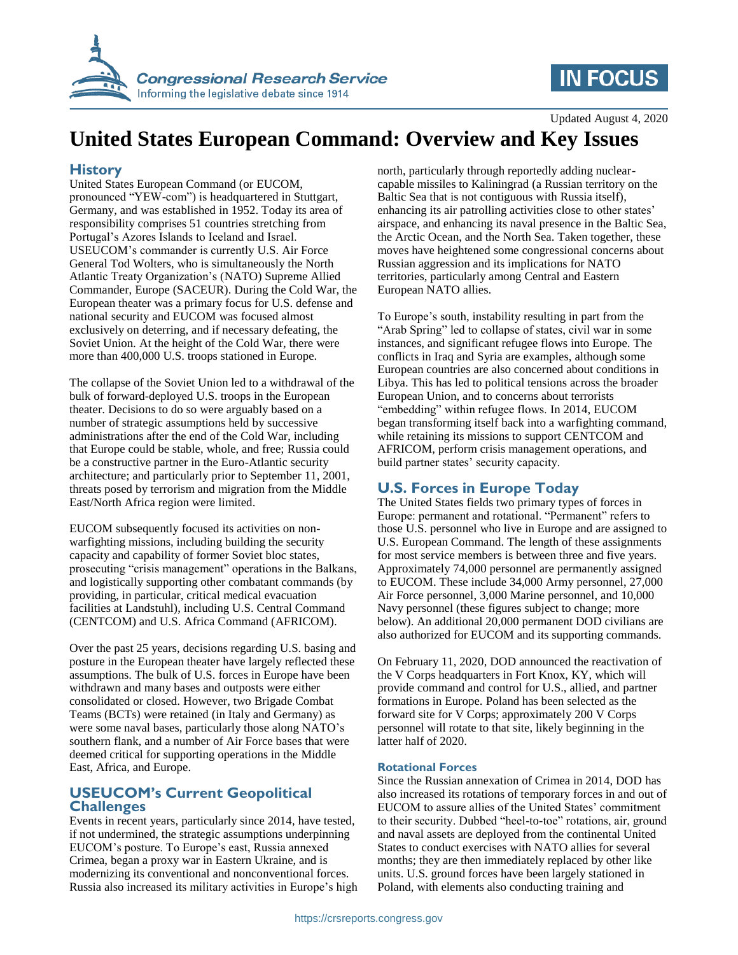

# **IN FOCUS**

Updated August 4, 2020

# **United States European Command: Overview and Key Issues**

## **History**

United States European Command (or EUCOM, pronounced "YEW-com") is headquartered in Stuttgart, Germany, and was established in 1952. Today its area of responsibility comprises 51 countries stretching from Portugal's Azores Islands to Iceland and Israel. USEUCOM's commander is currently U.S. Air Force General Tod Wolters, who is simultaneously the North Atlantic Treaty Organization's (NATO) Supreme Allied Commander, Europe (SACEUR). During the Cold War, the European theater was a primary focus for U.S. defense and national security and EUCOM was focused almost exclusively on deterring, and if necessary defeating, the Soviet Union. At the height of the Cold War, there were more than 400,000 U.S. troops stationed in Europe.

The collapse of the Soviet Union led to a withdrawal of the bulk of forward-deployed U.S. troops in the European theater. Decisions to do so were arguably based on a number of strategic assumptions held by successive administrations after the end of the Cold War, including that Europe could be stable, whole, and free; Russia could be a constructive partner in the Euro-Atlantic security architecture; and particularly prior to September 11, 2001, threats posed by terrorism and migration from the Middle East/North Africa region were limited.

EUCOM subsequently focused its activities on nonwarfighting missions, including building the security capacity and capability of former Soviet bloc states, prosecuting "crisis management" operations in the Balkans, and logistically supporting other combatant commands (by providing, in particular, critical medical evacuation facilities at Landstuhl), including U.S. Central Command (CENTCOM) and U.S. Africa Command (AFRICOM).

Over the past 25 years, decisions regarding U.S. basing and posture in the European theater have largely reflected these assumptions. The bulk of U.S. forces in Europe have been withdrawn and many bases and outposts were either consolidated or closed. However, two Brigade Combat Teams (BCTs) were retained (in Italy and Germany) as were some naval bases, particularly those along NATO's southern flank, and a number of Air Force bases that were deemed critical for supporting operations in the Middle East, Africa, and Europe.

### **USEUCOM's Current Geopolitical Challenges**

Events in recent years, particularly since 2014, have tested, if not undermined, the strategic assumptions underpinning EUCOM's posture. To Europe's east, Russia annexed Crimea, began a proxy war in Eastern Ukraine, and is modernizing its conventional and nonconventional forces. Russia also increased its military activities in Europe's high north, particularly through reportedly adding nuclearcapable missiles to Kaliningrad (a Russian territory on the Baltic Sea that is not contiguous with Russia itself), enhancing its air patrolling activities close to other states' airspace, and enhancing its naval presence in the Baltic Sea, the Arctic Ocean, and the North Sea. Taken together, these moves have heightened some congressional concerns about Russian aggression and its implications for NATO territories, particularly among Central and Eastern European NATO allies.

To Europe's south, instability resulting in part from the "Arab Spring" led to collapse of states, civil war in some instances, and significant refugee flows into Europe. The conflicts in Iraq and Syria are examples, although some European countries are also concerned about conditions in Libya. This has led to political tensions across the broader European Union, and to concerns about terrorists "embedding" within refugee flows. In 2014, EUCOM began transforming itself back into a warfighting command, while retaining its missions to support CENTCOM and AFRICOM, perform crisis management operations, and build partner states' security capacity.

# **U.S. Forces in Europe Today**

The United States fields two primary types of forces in Europe: permanent and rotational. "Permanent" refers to those U.S. personnel who live in Europe and are assigned to U.S. European Command. The length of these assignments for most service members is between three and five years. Approximately 74,000 personnel are permanently assigned to EUCOM. These include 34,000 Army personnel, 27,000 Air Force personnel, 3,000 Marine personnel, and 10,000 Navy personnel (these figures subject to change; more below). An additional 20,000 permanent DOD civilians are also authorized for EUCOM and its supporting commands.

On February 11, 2020, DOD announced the reactivation of the V Corps headquarters in Fort Knox, KY, which will provide command and control for U.S., allied, and partner formations in Europe. Poland has been selected as the forward site for V Corps; approximately 200 V Corps personnel will rotate to that site, likely beginning in the latter half of 2020.

#### **Rotational Forces**

Since the Russian annexation of Crimea in 2014, DOD has also increased its rotations of temporary forces in and out of EUCOM to assure allies of the United States' commitment to their security. Dubbed "heel-to-toe" rotations, air, ground and naval assets are deployed from the continental United States to conduct exercises with NATO allies for several months; they are then immediately replaced by other like units. U.S. ground forces have been largely stationed in Poland, with elements also conducting training and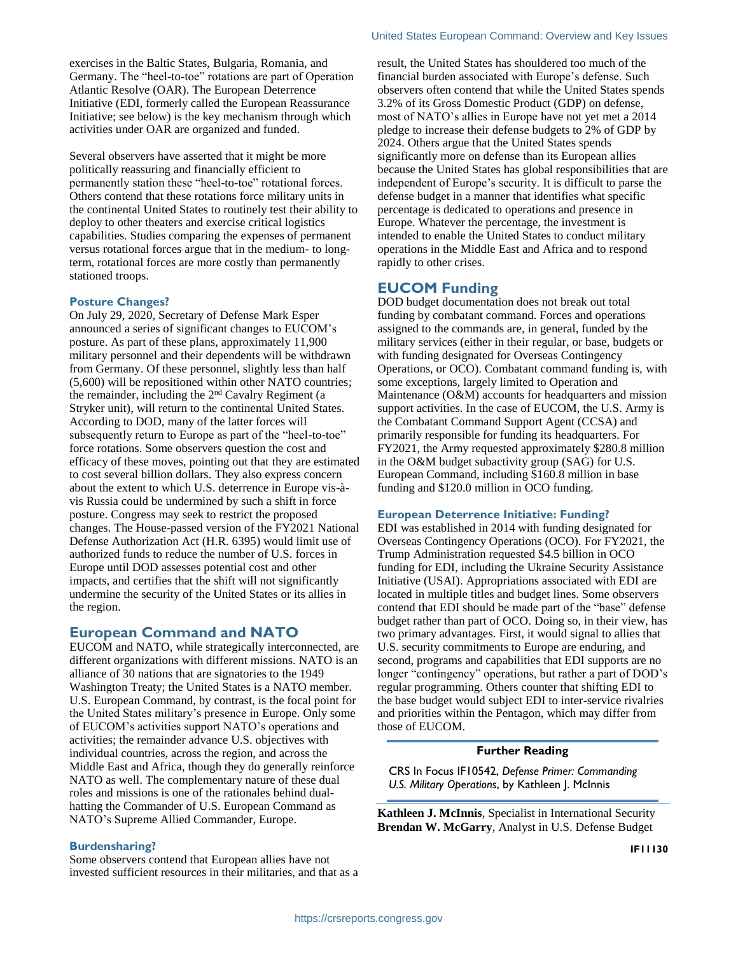exercises in the Baltic States, Bulgaria, Romania, and Germany. The "heel-to-toe" rotations are part of Operation Atlantic Resolve (OAR). The European Deterrence Initiative (EDI, formerly called the European Reassurance Initiative; see below) is the key mechanism through which activities under OAR are organized and funded.

Several observers have asserted that it might be more politically reassuring and financially efficient to permanently station these "heel-to-toe" rotational forces. Others contend that these rotations force military units in the continental United States to routinely test their ability to deploy to other theaters and exercise critical logistics capabilities. Studies comparing the expenses of permanent versus rotational forces argue that in the medium- to longterm, rotational forces are more costly than permanently stationed troops.

#### **Posture Changes?**

On July 29, 2020, Secretary of Defense Mark Esper announced a series of significant changes to EUCOM's posture. As part of these plans, approximately 11,900 military personnel and their dependents will be withdrawn from Germany. Of these personnel, slightly less than half (5,600) will be repositioned within other NATO countries; the remainder, including the  $2<sup>nd</sup>$  Cavalry Regiment (a Stryker unit), will return to the continental United States. According to DOD, many of the latter forces will subsequently return to Europe as part of the "heel-to-toe" force rotations. Some observers question the cost and efficacy of these moves, pointing out that they are estimated to cost several billion dollars. They also express concern about the extent to which U.S. deterrence in Europe vis-àvis Russia could be undermined by such a shift in force posture. Congress may seek to restrict the proposed changes. The House-passed version of the FY2021 National Defense Authorization Act (H.R. 6395) would limit use of authorized funds to reduce the number of U.S. forces in Europe until DOD assesses potential cost and other impacts, and certifies that the shift will not significantly undermine the security of the United States or its allies in the region.

#### **European Command and NATO**

EUCOM and NATO, while strategically interconnected, are different organizations with different missions. NATO is an alliance of 30 nations that are signatories to the 1949 Washington Treaty; the United States is a NATO member. U.S. European Command, by contrast, is the focal point for the United States military's presence in Europe. Only some of EUCOM's activities support NATO's operations and activities; the remainder advance U.S. objectives with individual countries, across the region, and across the Middle East and Africa, though they do generally reinforce NATO as well. The complementary nature of these dual roles and missions is one of the rationales behind dualhatting the Commander of U.S. European Command as NATO's Supreme Allied Commander, Europe.

#### **Burdensharing?**

Some observers contend that European allies have not invested sufficient resources in their militaries, and that as a result, the United States has shouldered too much of the financial burden associated with Europe's defense. Such observers often contend that while the United States spends 3.2% of its Gross Domestic Product (GDP) on defense, most of NATO's allies in Europe have not yet met a 2014 pledge to increase their defense budgets to 2% of GDP by 2024. Others argue that the United States spends significantly more on defense than its European allies because the United States has global responsibilities that are independent of Europe's security. It is difficult to parse the defense budget in a manner that identifies what specific percentage is dedicated to operations and presence in Europe. Whatever the percentage, the investment is intended to enable the United States to conduct military operations in the Middle East and Africa and to respond rapidly to other crises.

### **EUCOM Funding**

DOD budget documentation does not break out total funding by combatant command. Forces and operations assigned to the commands are, in general, funded by the military services (either in their regular, or base, budgets or with funding designated for Overseas Contingency Operations, or OCO). Combatant command funding is, with some exceptions, largely limited to Operation and Maintenance (O&M) accounts for headquarters and mission support activities. In the case of EUCOM, the U.S. Army is the Combatant Command Support Agent (CCSA) and primarily responsible for funding its headquarters. For FY2021, the Army requested approximately \$280.8 million in the O&M budget subactivity group (SAG) for U.S. European Command, including \$160.8 million in base funding and \$120.0 million in OCO funding.

#### **European Deterrence Initiative: Funding?**

EDI was established in 2014 with funding designated for Overseas Contingency Operations (OCO). For FY2021, the Trump Administration requested \$4.5 billion in OCO funding for EDI, including the Ukraine Security Assistance Initiative (USAI). Appropriations associated with EDI are located in multiple titles and budget lines. Some observers contend that EDI should be made part of the "base" defense budget rather than part of OCO. Doing so, in their view, has two primary advantages. First, it would signal to allies that U.S. security commitments to Europe are enduring, and second, programs and capabilities that EDI supports are no longer "contingency" operations, but rather a part of DOD's regular programming. Others counter that shifting EDI to the base budget would subject EDI to inter-service rivalries and priorities within the Pentagon, which may differ from those of EUCOM.

#### **Further Reading**

CRS In Focus IF10542, *Defense Primer: Commanding U.S. Military Operations*, by Kathleen J. McInnis

**Kathleen J. McInnis**, Specialist in International Security **Brendan W. McGarry**, Analyst in U.S. Defense Budget